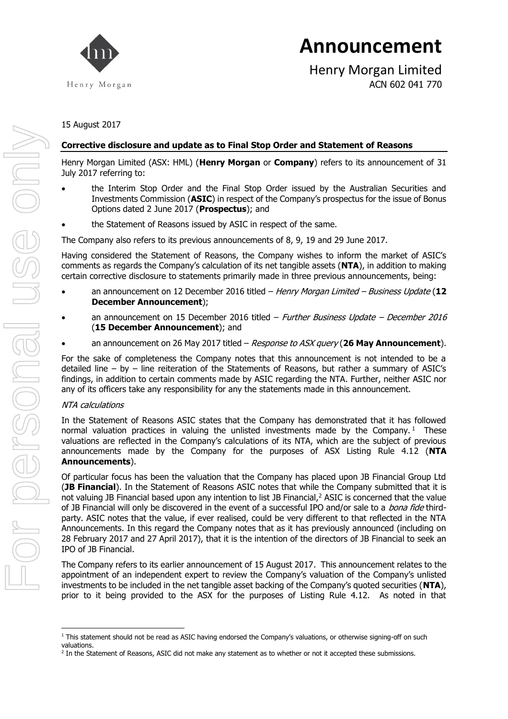

Henry Morgan Limited ACN 602 041 770

15 August 2017

### **Corrective disclosure and update as to Final Stop Order and Statement of Reasons**

Henry Morgan Limited (ASX: HML) (**Henry Morgan** or **Company**) refers to its announcement of 31 July 2017 referring to:

- the Interim Stop Order and the Final Stop Order issued by the Australian Securities and Investments Commission (**ASIC**) in respect of the Company's prospectus for the issue of Bonus Options dated 2 June 2017 (**Prospectus**); and
- the Statement of Reasons issued by ASIC in respect of the same.

The Company also refers to its previous announcements of 8, 9, 19 and 29 June 2017.

Having considered the Statement of Reasons, the Company wishes to inform the market of ASIC's comments as regards the Company's calculation of its net tangible assets (**NTA**), in addition to making certain corrective disclosure to statements primarily made in three previous announcements, being:

- an announcement on 12 December 2016 titled Henry Morgan Limited Business Update (**12 December Announcement**);
- an announcement on 15 December 2016 titled  $-$  Further Business Update  $-$  December 2016 (**15 December Announcement**); and
- an announcement on 26 May 2017 titled Response to ASX query (**26 May Announcement**).

For the sake of completeness the Company notes that this announcement is not intended to be a detailed line – by – line reiteration of the Statements of Reasons, but rather a summary of ASIC's findings, in addition to certain comments made by ASIC regarding the NTA. Further, neither ASIC nor any of its officers take any responsibility for any the statements made in this announcement.

#### NTA calculations

 $\overline{a}$ 

In the Statement of Reasons ASIC states that the Company has demonstrated that it has followed normal valuation practices in valuing the unlisted investments made by the Company.<sup>1</sup> These valuations are reflected in the Company's calculations of its NTA, which are the subject of previous announcements made by the Company for the purposes of ASX Listing Rule 4.12 (**NTA Announcements**).

Of particular focus has been the valuation that the Company has placed upon JB Financial Group Ltd (**JB Financial**). In the Statement of Reasons ASIC notes that while the Company submitted that it is not valuing JB Financial based upon any intention to list JB Financial,<sup>2</sup> ASIC is concerned that the value of JB Financial will only be discovered in the event of a successful IPO and/or sale to a *bona fide* thirdparty. ASIC notes that the value, if ever realised, could be very different to that reflected in the NTA Announcements. In this regard the Company notes that as it has previously announced (including on 28 February 2017 and 27 April 2017), that it is the intention of the directors of JB Financial to seek an IPO of JB Financial.

The Company refers to its earlier announcement of 15 August 2017. This announcement relates to the appointment of an independent expert to review the Company's valuation of the Company's unlisted investments to be included in the net tangible asset backing of the Company's quoted securities (**NTA**), prior to it being provided to the ASX for the purposes of Listing Rule 4.12. As noted in that

<sup>&</sup>lt;sup>1</sup> This statement should not be read as ASIC having endorsed the Company's valuations, or otherwise signing-off on such valuations.

<sup>&</sup>lt;sup>2</sup> In the Statement of Reasons, ASIC did not make any statement as to whether or not it accepted these submissions.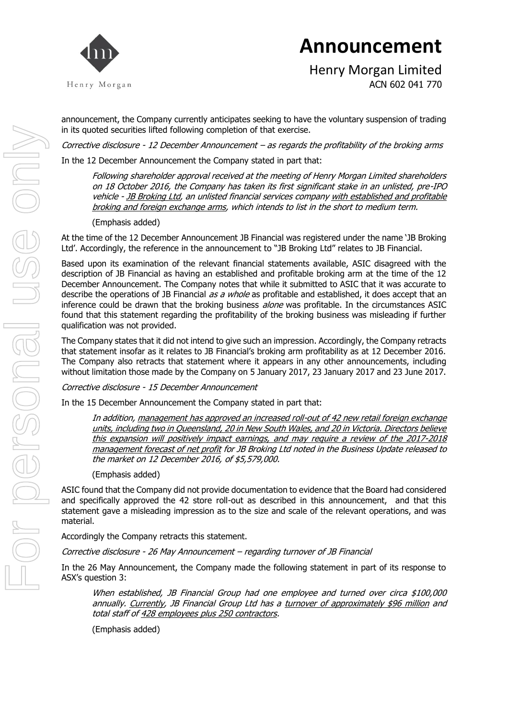

Henry Morgan Limited ACN 602 041 770

announcement, the Company currently anticipates seeking to have the voluntary suspension of trading in its quoted securities lifted following completion of that exercise.

Corrective disclosure - 12 December Announcement – as regards the profitability of the broking arms

In the 12 December Announcement the Company stated in part that:

Following shareholder approval received at the meeting of Henry Morgan Limited shareholders on 18 October 2016, the Company has taken its first significant stake in an unlisted, pre-IPO vehicle - JB Broking Ltd, an unlisted financial services company with established and profitable broking and foreign exchange arms, which intends to list in the short to medium term.

#### (Emphasis added)

At the time of the 12 December Announcement JB Financial was registered under the name 'JB Broking Ltd'. Accordingly, the reference in the announcement to "JB Broking Ltd" relates to JB Financial.

Based upon its examination of the relevant financial statements available, ASIC disagreed with the description of JB Financial as having an established and profitable broking arm at the time of the 12 December Announcement. The Company notes that while it submitted to ASIC that it was accurate to describe the operations of JB Financial *as a whole* as profitable and established, it does accept that an inference could be drawn that the broking business *alone* was profitable. In the circumstances ASIC found that this statement regarding the profitability of the broking business was misleading if further qualification was not provided.

The Company states that it did not intend to give such an impression. Accordingly, the Company retracts that statement insofar as it relates to JB Financial's broking arm profitability as at 12 December 2016. The Company also retracts that statement where it appears in any other announcements, including without limitation those made by the Company on 5 January 2017, 23 January 2017 and 23 June 2017.

Corrective disclosure - 15 December Announcement

In the 15 December Announcement the Company stated in part that:

In addition, management has approved an increased roll-out of 42 new retail foreign exchange units, including two in Queensland, 20 in New South Wales, and 20 in Victoria. Directors believe this expansion will positively impact earnings, and may require a review of the 2017-2018 management forecast of net profit for JB Broking Ltd noted in the Business Update released to the market on 12 December 2016, of \$5,579,000.

(Emphasis added)

ASIC found that the Company did not provide documentation to evidence that the Board had considered and specifically approved the 42 store roll-out as described in this announcement, and that this statement gave a misleading impression as to the size and scale of the relevant operations, and was material.

Accordingly the Company retracts this statement.

Corrective disclosure - 26 May Announcement – regarding turnover of JB Financial

In the 26 May Announcement, the Company made the following statement in part of its response to ASX's question 3:

When established, JB Financial Group had one employee and turned over circa \$100,000 annually. Currently, JB Financial Group Ltd has a turnover of approximately \$96 million and total staff of 428 employees plus 250 contractors.

(Emphasis added)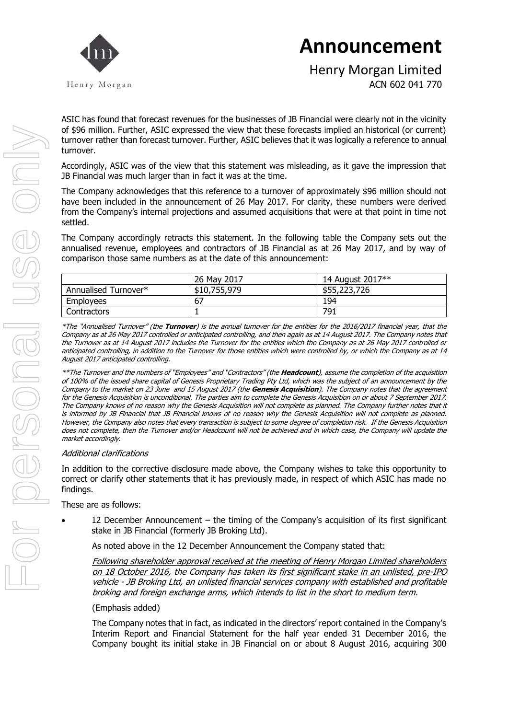

Henry Morgan Limited ACN 602 041 770

ASIC has found that forecast revenues for the businesses of JB Financial were clearly not in the vicinity of \$96 million. Further, ASIC expressed the view that these forecasts implied an historical (or current) turnover rather than forecast turnover. Further, ASIC believes that it was logically a reference to annual turnover.

Accordingly, ASIC was of the view that this statement was misleading, as it gave the impression that JB Financial was much larger than in fact it was at the time.

The Company acknowledges that this reference to a turnover of approximately \$96 million should not have been included in the announcement of 26 May 2017. For clarity, these numbers were derived from the Company's internal projections and assumed acquisitions that were at that point in time not settled.

The Company accordingly retracts this statement. In the following table the Company sets out the annualised revenue, employees and contractors of JB Financial as at 26 May 2017, and by way of comparison those same numbers as at the date of this announcement:

|                      | 26 May 2017  | 14 August 2017** |
|----------------------|--------------|------------------|
| Annualised Turnover* | \$10,755,979 | \$55,223,726     |
| <b>Employees</b>     | 67           | 194              |
| <b>Contractors</b>   |              | 791              |

\*The "Annualised Turnover" (the **Turnover**) is the annual turnover for the entities for the 2016/2017 financial year, that the Company as at 26 May 2017 controlled or anticipated controlling, and then again as at 14 August 2017. The Company notes that the Turnover as at 14 August 2017 includes the Turnover for the entities which the Company as at 26 May 2017 controlled or anticipated controlling, in addition to the Turnover for those entities which were controlled by, or which the Company as at 14 August 2017 anticipated controlling.

\*\*The Turnover and the numbers of "Employees" and "Contractors" (the **Headcount**), assume the completion of the acquisition of 100% of the issued share capital of Genesis Proprietary Trading Pty Ltd, which was the subject of an announcement by the Company to the market on 23 June and 15 August 2017 (the **Genesis Acquisition**). The Company notes that the agreement for the Genesis Acquisition is unconditional. The parties aim to complete the Genesis Acquisition on or about 7 September 2017. The Company knows of no reason why the Genesis Acquisition will not complete as planned. The Company further notes that it is informed by JB Financial that JB Financial knows of no reason why the Genesis Acquisition will not complete as planned. However, the Company also notes that every transaction is subject to some degree of completion risk. If the Genesis Acquisition does not complete, then the Turnover and/or Headcount will not be achieved and in which case, the Company will update the market accordingly.

#### Additional clarifications

In addition to the corrective disclosure made above, the Company wishes to take this opportunity to correct or clarify other statements that it has previously made, in respect of which ASIC has made no findings.

These are as follows:

 12 December Announcement – the timing of the Company's acquisition of its first significant stake in JB Financial (formerly JB Broking Ltd).

As noted above in the 12 December Announcement the Company stated that:

Following shareholder approval received at the meeting of Henry Morgan Limited shareholders on 18 October 2016, the Company has taken its first significant stake in an unlisted, pre-IPO vehicle - JB Broking Ltd, an unlisted financial services company with established and profitable broking and foreign exchange arms, which intends to list in the short to medium term.

#### (Emphasis added)

The Company notes that in fact, as indicated in the directors' report contained in the Company's Interim Report and Financial Statement for the half year ended 31 December 2016, the Company bought its initial stake in JB Financial on or about 8 August 2016, acquiring 300